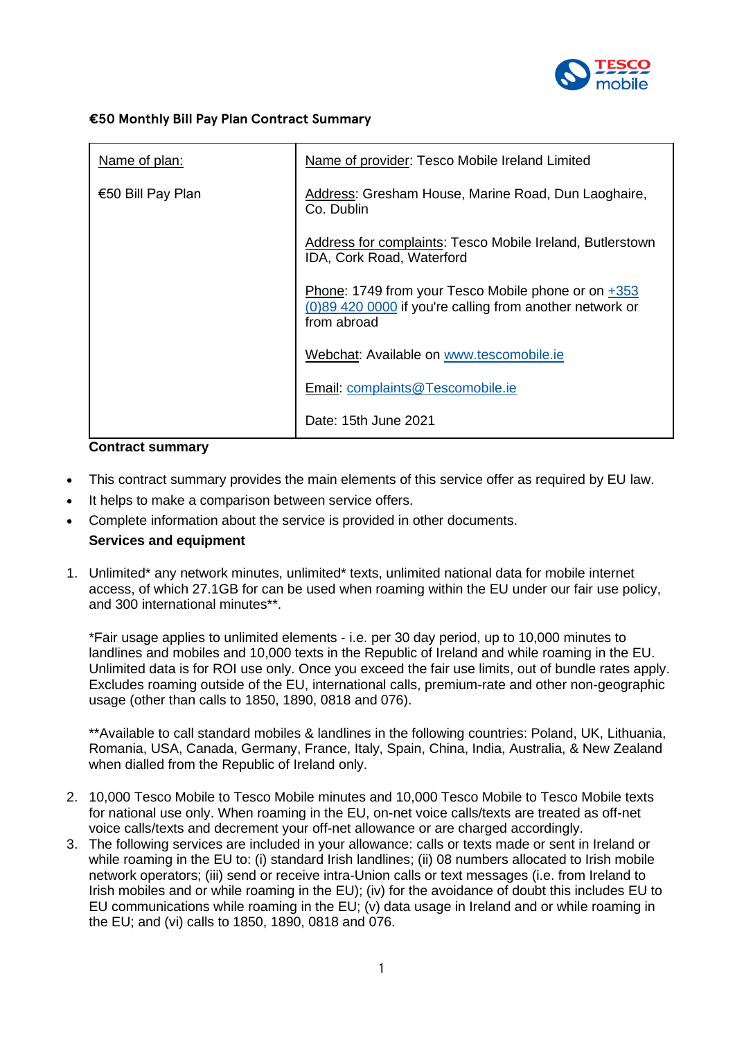

### **€50 Monthly Bill Pay Plan Contract Summary**

| Name of plan:     | Name of provider: Tesco Mobile Ireland Limited                                                                                   |
|-------------------|----------------------------------------------------------------------------------------------------------------------------------|
| €50 Bill Pay Plan | Address: Gresham House, Marine Road, Dun Laoghaire,<br>Co. Dublin                                                                |
|                   | Address for complaints: Tesco Mobile Ireland, Butlerstown<br>IDA, Cork Road, Waterford                                           |
|                   | Phone: 1749 from your Tesco Mobile phone or on $+353$<br>(0)89 420 0000 if you're calling from another network or<br>from abroad |
|                   | Webchat: Available on www.tescomobile.ie                                                                                         |
|                   | Email: complaints@Tescomobile.ie                                                                                                 |
|                   | Date: 15th June 2021                                                                                                             |

#### **Contract summary**

- This contract summary provides the main elements of this service offer as required by EU law.
- It helps to make a comparison between service offers.
- Complete information about the service is provided in other documents.

# **Services and equipment**

1. Unlimited\* any network minutes, unlimited\* texts, unlimited national data for mobile internet access, of which 27.1GB for can be used when roaming within the EU under our fair use policy, and 300 international minutes\*\*.

\*Fair usage applies to unlimited elements - i.e. per 30 day period, up to 10,000 minutes to landlines and mobiles and 10,000 texts in the Republic of Ireland and while roaming in the EU. Unlimited data is for ROI use only. Once you exceed the fair use limits, out of bundle rates apply. Excludes roaming outside of the EU, international calls, premium-rate and other non-geographic usage (other than calls to 1850, 1890, 0818 and 076).

\*\*Available to call standard mobiles & landlines in the following countries: Poland, UK, Lithuania, Romania, USA, Canada, Germany, France, Italy, Spain, China, India, Australia, & New Zealand when dialled from the Republic of Ireland only.

- 2. 10,000 Tesco Mobile to Tesco Mobile minutes and 10,000 Tesco Mobile to Tesco Mobile texts for national use only. When roaming in the EU, on-net voice calls/texts are treated as off-net voice calls/texts and decrement your off-net allowance or are charged accordingly.
- 3. The following services are included in your allowance: calls or texts made or sent in Ireland or while roaming in the EU to: (i) standard Irish landlines; (ii) 08 numbers allocated to Irish mobile network operators; (iii) send or receive intra-Union calls or text messages (i.e. from Ireland to Irish mobiles and or while roaming in the EU); (iv) for the avoidance of doubt this includes EU to EU communications while roaming in the EU; (v) data usage in Ireland and or while roaming in the EU; and (vi) calls to 1850, 1890, 0818 and 076.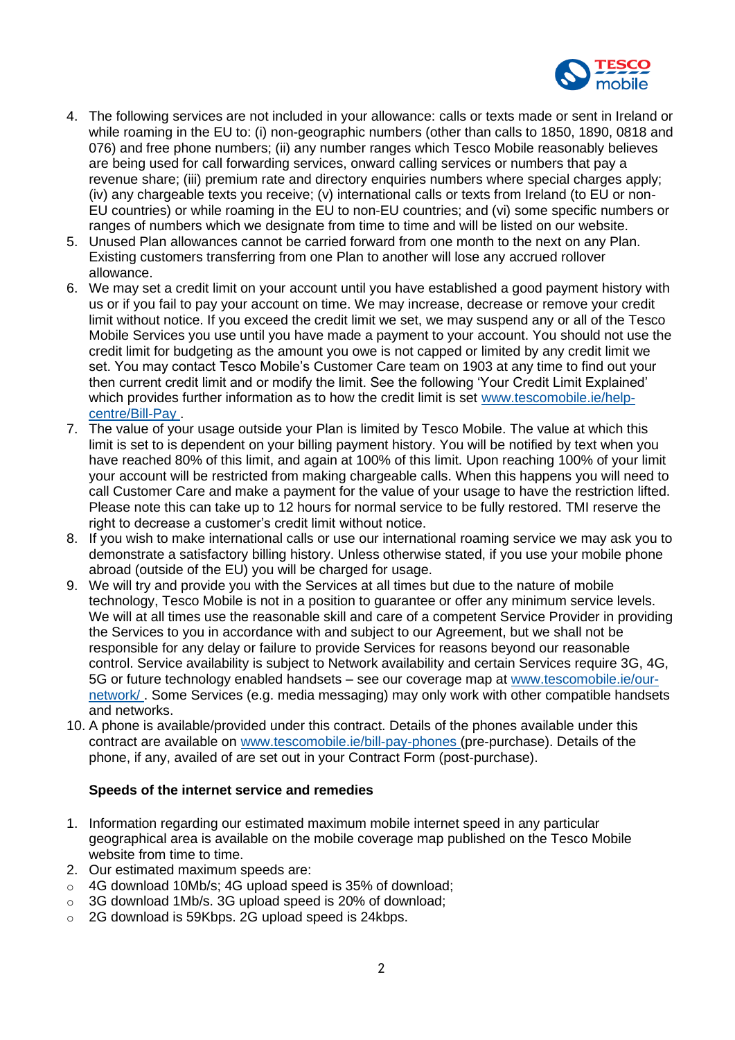

- 4. The following services are not included in your allowance: calls or texts made or sent in Ireland or while roaming in the EU to: (i) non-geographic numbers (other than calls to 1850, 1890, 0818 and 076) and free phone numbers; (ii) any number ranges which Tesco Mobile reasonably believes are being used for call forwarding services, onward calling services or numbers that pay a revenue share; (iii) premium rate and directory enquiries numbers where special charges apply; (iv) any chargeable texts you receive; (v) international calls or texts from Ireland (to EU or non-EU countries) or while roaming in the EU to non-EU countries; and (vi) some specific numbers or ranges of numbers which we designate from time to time and will be listed on our website.
- 5. Unused Plan allowances cannot be carried forward from one month to the next on any Plan. Existing customers transferring from one Plan to another will lose any accrued rollover allowance.
- 6. We may set a credit limit on your account until you have established a good payment history with us or if you fail to pay your account on time. We may increase, decrease or remove your credit limit without notice. If you exceed the credit limit we set, we may suspend any or all of the Tesco Mobile Services you use until you have made a payment to your account. You should not use the credit limit for budgeting as the amount you owe is not capped or limited by any credit limit we set. You may contact Tesco Mobile's Customer Care team on 1903 at any time to find out your then current credit limit and or modify the limit. See the following 'Your Credit Limit Explained' which provides further information as to how the credit limit is set [www.tescomobile.ie/help](https://www.tescomobile.ie/help-centre/Bill-Pay)[centre/Bill-Pay](https://www.tescomobile.ie/help-centre/Bill-Pay) .
- 7. The value of your usage outside your Plan is limited by Tesco Mobile. The value at which this limit is set to is dependent on your billing payment history. You will be notified by text when you have reached 80% of this limit, and again at 100% of this limit. Upon reaching 100% of your limit your account will be restricted from making chargeable calls. When this happens you will need to call Customer Care and make a payment for the value of your usage to have the restriction lifted. Please note this can take up to 12 hours for normal service to be fully restored. TMI reserve the right to decrease a customer's credit limit without notice.
- 8. If you wish to make international calls or use our international roaming service we may ask you to demonstrate a satisfactory billing history. Unless otherwise stated, if you use your mobile phone abroad (outside of the EU) you will be charged for usage.
- 9. We will try and provide you with the Services at all times but due to the nature of mobile technology, Tesco Mobile is not in a position to guarantee or offer any minimum service levels. We will at all times use the reasonable skill and care of a competent Service Provider in providing the Services to you in accordance with and subject to our Agreement, but we shall not be responsible for any delay or failure to provide Services for reasons beyond our reasonable control. Service availability is subject to Network availability and certain Services require 3G, 4G, 5G or future technology enabled handsets - see our coverage map at [www.tescomobile.ie/our](https://www.tescomobile.ie/our-network/)[network/](https://www.tescomobile.ie/our-network/) . Some Services (e.g. media messaging) may only work with other compatible handsets and networks.
- 10. A phone is available/provided under this contract. Details of the phones available under this contract are available on [www.tescomobile.ie/bill-pay-phones](https://www.tescomobile.ie/bill-pay-phones) (pre-purchase). Details of the phone, if any, availed of are set out in your Contract Form (post-purchase).

### **Speeds of the internet service and remedies**

- 1. Information regarding our estimated maximum mobile internet speed in any particular geographical area is available on the mobile coverage map published on the Tesco Mobile website from time to time.
- 2. Our estimated maximum speeds are:
- o 4G download 10Mb/s; 4G upload speed is 35% of download;
- o 3G download 1Mb/s. 3G upload speed is 20% of download;
- o 2G download is 59Kbps. 2G upload speed is 24kbps.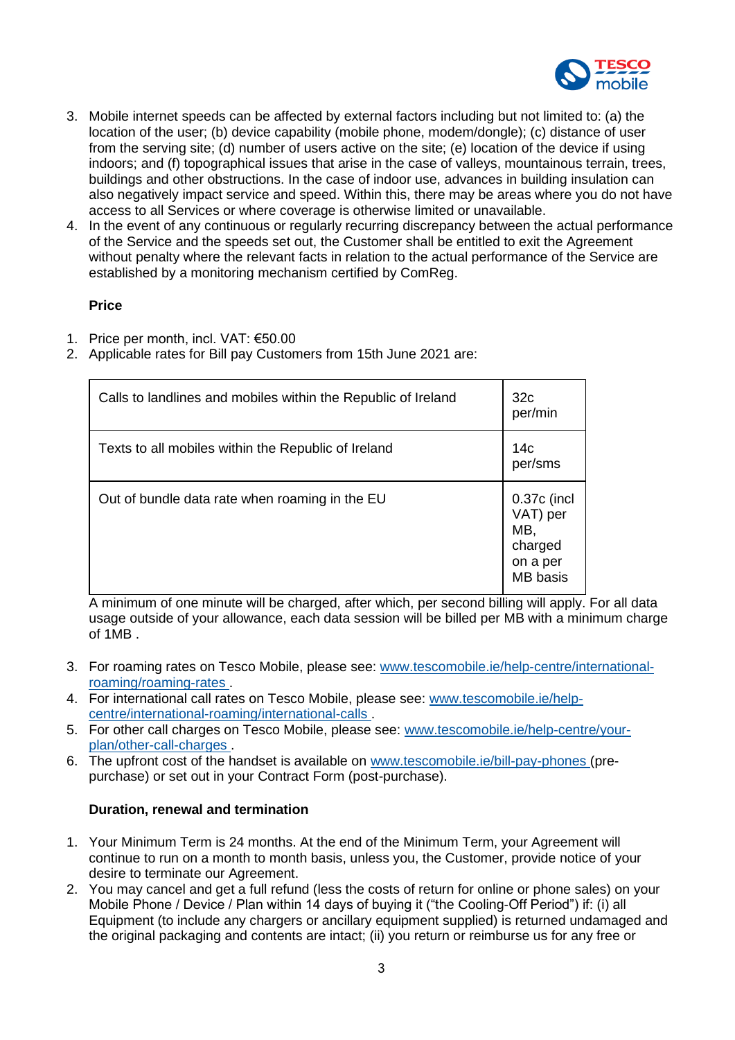

- 3. Mobile internet speeds can be affected by external factors including but not limited to: (a) the location of the user; (b) device capability (mobile phone, modem/dongle); (c) distance of user from the serving site; (d) number of users active on the site; (e) location of the device if using indoors; and (f) topographical issues that arise in the case of valleys, mountainous terrain, trees, buildings and other obstructions. In the case of indoor use, advances in building insulation can also negatively impact service and speed. Within this, there may be areas where you do not have access to all Services or where coverage is otherwise limited or unavailable.
- 4. In the event of any continuous or regularly recurring discrepancy between the actual performance of the Service and the speeds set out, the Customer shall be entitled to exit the Agreement without penalty where the relevant facts in relation to the actual performance of the Service are established by a monitoring mechanism certified by ComReg.

## **Price**

- 1. Price per month, incl. VAT: €50.00
- 2. Applicable rates for Bill pay Customers from 15th June 2021 are:

| Calls to landlines and mobiles within the Republic of Ireland | 32 <sub>c</sub><br>per/min                                               |
|---------------------------------------------------------------|--------------------------------------------------------------------------|
| Texts to all mobiles within the Republic of Ireland           | 14с<br>per/sms                                                           |
| Out of bundle data rate when roaming in the EU                | 0.37c (incl<br>VAT) per<br>MB,<br>charged<br>on a per<br><b>MB</b> basis |

A minimum of one minute will be charged, after which, per second billing will apply. For all data usage outside of your allowance, each data session will be billed per MB with a minimum charge of 1MB .

- 3. For roaming rates on Tesco Mobile, please see: [www.tescomobile.ie/help-centre/international](https://www.tescomobile.ie/help-centre/international-roaming/roaming-rates)[roaming/roaming-rates](https://www.tescomobile.ie/help-centre/international-roaming/roaming-rates) .
- 4. For international call rates on Tesco Mobile, please see: [www.tescomobile.ie/help](https://www.tescomobile.ie/help-centre/international-roaming/international-calls)[centre/international-roaming/international-calls](https://www.tescomobile.ie/help-centre/international-roaming/international-calls) .
- 5. For other call charges on Tesco Mobile, please see: [www.tescomobile.ie/help-centre/your](https://www.tescomobile.ie/help-centre/your-plan/other-call-charges)[plan/other-call-charges](https://www.tescomobile.ie/help-centre/your-plan/other-call-charges) .
- 6. The upfront cost of the handset is available on [www.tescomobile.ie/bill-pay-phones](https://www.tescomobile.ie/bill-pay-phones) (prepurchase) or set out in your Contract Form (post-purchase).

# **Duration, renewal and termination**

- 1. Your Minimum Term is 24 months. At the end of the Minimum Term, your Agreement will continue to run on a month to month basis, unless you, the Customer, provide notice of your desire to terminate our Agreement.
- 2. You may cancel and get a full refund (less the costs of return for online or phone sales) on your Mobile Phone / Device / Plan within 14 days of buying it ("the Cooling-Off Period") if: (i) all Equipment (to include any chargers or ancillary equipment supplied) is returned undamaged and the original packaging and contents are intact; (ii) you return or reimburse us for any free or